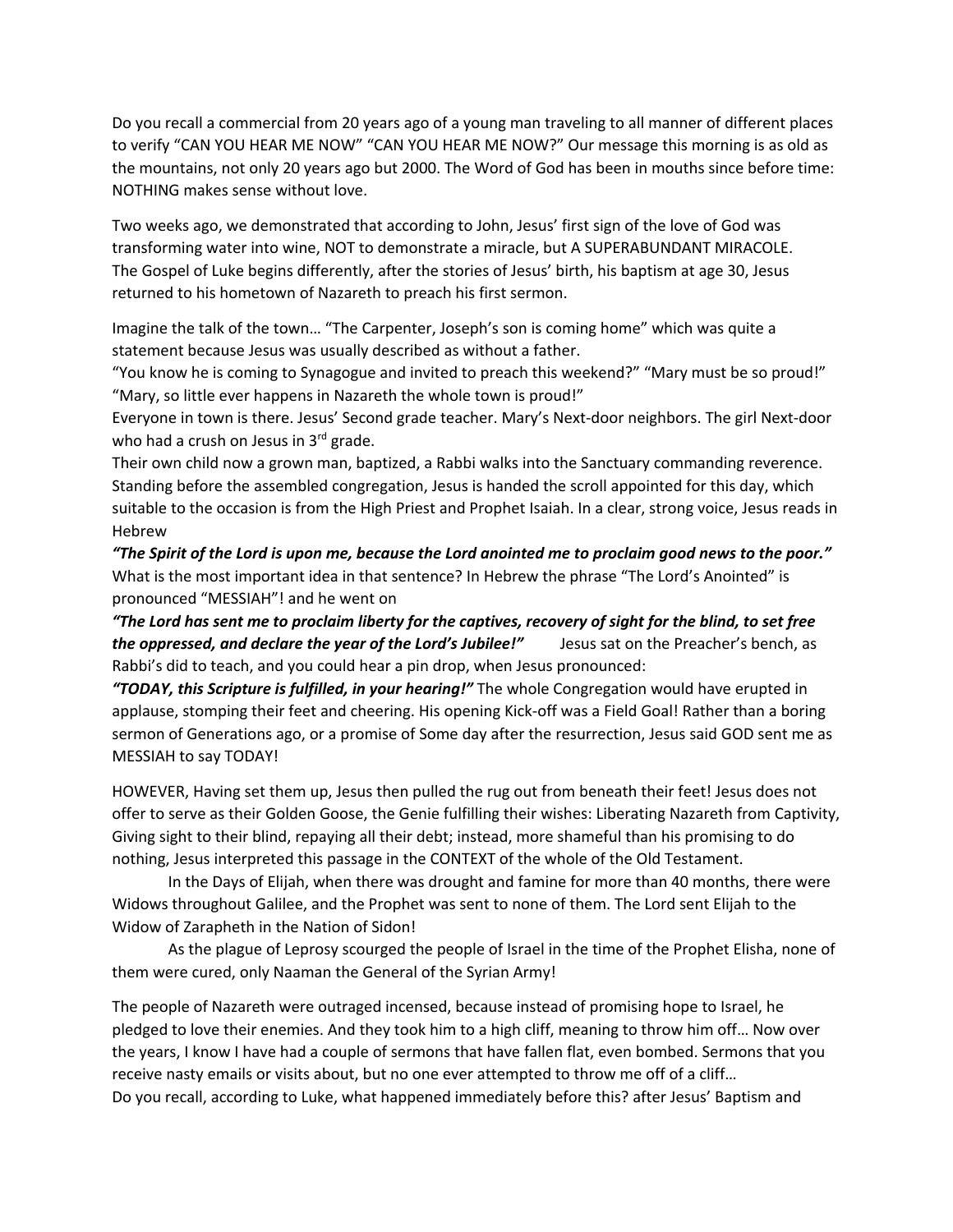Do you recall a commercial from 20 years ago of a young man traveling to all manner of different places to verify "CAN YOU HEAR ME NOW" "CAN YOU HEAR ME NOW?" Our message this morning is as old as the mountains, not only 20 years ago but 2000. The Word of God has been in mouths since before time: NOTHING makes sense without love.

Two weeks ago, we demonstrated that according to John, Jesus' first sign of the love of God was transforming water into wine, NOT to demonstrate a miracle, but A SUPERABUNDANT MIRACOLE. The Gospel of Luke begins differently, after the stories of Jesus' birth, his baptism at age 30, Jesus returned to his hometown of Nazareth to preach his first sermon.

Imagine the talk of the town… "The Carpenter, Joseph's son is coming home" which was quite a statement because Jesus was usually described as without a father.

"You know he is coming to Synagogue and invited to preach this weekend?" "Mary must be so proud!" "Mary, so little ever happens in Nazareth the whole town is proud!"

Everyone in town is there. Jesus' Second grade teacher. Mary's Next-door neighbors. The girl Next-door who had a crush on Jesus in  $3^{rd}$  grade.

Their own child now a grown man, baptized, a Rabbi walks into the Sanctuary commanding reverence. Standing before the assembled congregation, Jesus is handed the scroll appointed for this day, which suitable to the occasion is from the High Priest and Prophet Isaiah. In a clear, strong voice, Jesus reads in Hebrew

*"The Spirit of the Lord is upon me, because the Lord anointed me to proclaim good news to the poor."* What is the most important idea in that sentence? In Hebrew the phrase "The Lord's Anointed" is pronounced "MESSIAH"! and he went on

*"The Lord has sent me to proclaim liberty for the captives, recovery of sight for the blind, to set free the oppressed, and declare the year of the Lord's Jubilee!"* Jesus sat on the Preacher's bench, as Rabbi's did to teach, and you could hear a pin drop, when Jesus pronounced:

*"TODAY, this Scripture is fulfilled, in your hearing!"* The whole Congregation would have erupted in applause, stomping their feet and cheering. His opening Kick-off was a Field Goal! Rather than a boring sermon of Generations ago, or a promise of Some day after the resurrection, Jesus said GOD sent me as MESSIAH to say TODAY!

HOWEVER, Having set them up, Jesus then pulled the rug out from beneath their feet! Jesus does not offer to serve as their Golden Goose, the Genie fulfilling their wishes: Liberating Nazareth from Captivity, Giving sight to their blind, repaying all their debt; instead, more shameful than his promising to do nothing, Jesus interpreted this passage in the CONTEXT of the whole of the Old Testament.

In the Days of Elijah, when there was drought and famine for more than 40 months, there were Widows throughout Galilee, and the Prophet was sent to none of them. The Lord sent Elijah to the Widow of Zarapheth in the Nation of Sidon!

As the plague of Leprosy scourged the people of Israel in the time of the Prophet Elisha, none of them were cured, only Naaman the General of the Syrian Army!

The people of Nazareth were outraged incensed, because instead of promising hope to Israel, he pledged to love their enemies. And they took him to a high cliff, meaning to throw him off… Now over the years, I know I have had a couple of sermons that have fallen flat, even bombed. Sermons that you receive nasty emails or visits about, but no one ever attempted to throw me off of a cliff… Do you recall, according to Luke, what happened immediately before this? after Jesus' Baptism and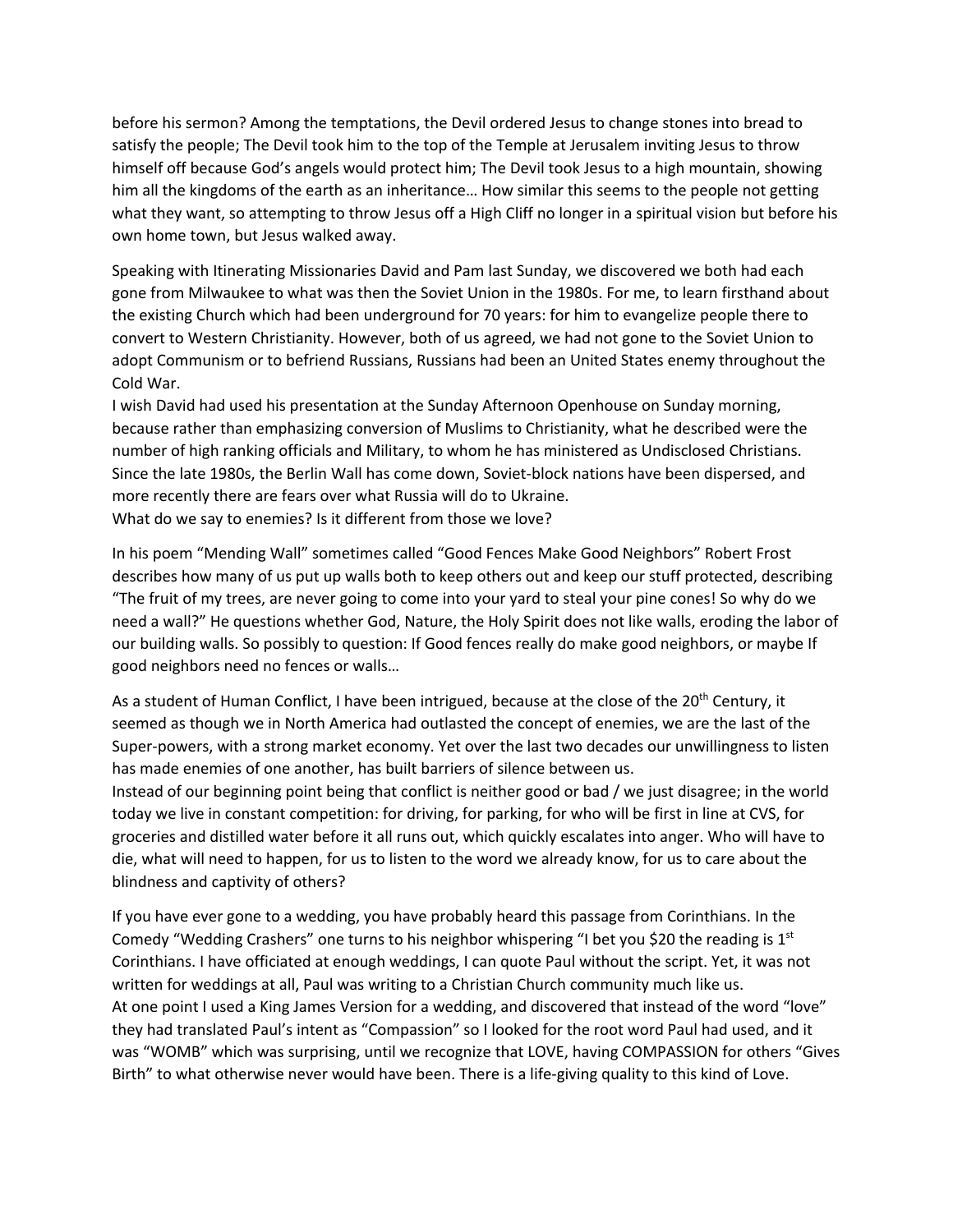before his sermon? Among the temptations, the Devil ordered Jesus to change stones into bread to satisfy the people; The Devil took him to the top of the Temple at Jerusalem inviting Jesus to throw himself off because God's angels would protect him; The Devil took Jesus to a high mountain, showing him all the kingdoms of the earth as an inheritance… How similar this seems to the people not getting what they want, so attempting to throw Jesus off a High Cliff no longer in a spiritual vision but before his own home town, but Jesus walked away.

Speaking with Itinerating Missionaries David and Pam last Sunday, we discovered we both had each gone from Milwaukee to what was then the Soviet Union in the 1980s. For me, to learn firsthand about the existing Church which had been underground for 70 years: for him to evangelize people there to convert to Western Christianity. However, both of us agreed, we had not gone to the Soviet Union to adopt Communism or to befriend Russians, Russians had been an United States enemy throughout the Cold War.

I wish David had used his presentation at the Sunday Afternoon Openhouse on Sunday morning, because rather than emphasizing conversion of Muslims to Christianity, what he described were the number of high ranking officials and Military, to whom he has ministered as Undisclosed Christians. Since the late 1980s, the Berlin Wall has come down, Soviet-block nations have been dispersed, and more recently there are fears over what Russia will do to Ukraine. What do we say to enemies? Is it different from those we love?

In his poem "Mending Wall" sometimes called "Good Fences Make Good Neighbors" Robert Frost describes how many of us put up walls both to keep others out and keep our stuff protected, describing "The fruit of my trees, are never going to come into your yard to steal your pine cones! So why do we need a wall?" He questions whether God, Nature, the Holy Spirit does not like walls, eroding the labor of our building walls. So possibly to question: If Good fences really do make good neighbors, or maybe If good neighbors need no fences or walls…

As a student of Human Conflict, I have been intrigued, because at the close of the 20<sup>th</sup> Century, it seemed as though we in North America had outlasted the concept of enemies, we are the last of the Super-powers, with a strong market economy. Yet over the last two decades our unwillingness to listen has made enemies of one another, has built barriers of silence between us.

Instead of our beginning point being that conflict is neither good or bad / we just disagree; in the world today we live in constant competition: for driving, for parking, for who will be first in line at CVS, for groceries and distilled water before it all runs out, which quickly escalates into anger. Who will have to die, what will need to happen, for us to listen to the word we already know, for us to care about the blindness and captivity of others?

If you have ever gone to a wedding, you have probably heard this passage from Corinthians. In the Comedy "Wedding Crashers" one turns to his neighbor whispering "I bet you \$20 the reading is  $1<sup>st</sup>$ Corinthians. I have officiated at enough weddings, I can quote Paul without the script. Yet, it was not written for weddings at all, Paul was writing to a Christian Church community much like us. At one point I used a King James Version for a wedding, and discovered that instead of the word "love" they had translated Paul's intent as "Compassion" so I looked for the root word Paul had used, and it was "WOMB" which was surprising, until we recognize that LOVE, having COMPASSION for others "Gives Birth" to what otherwise never would have been. There is a life-giving quality to this kind of Love.